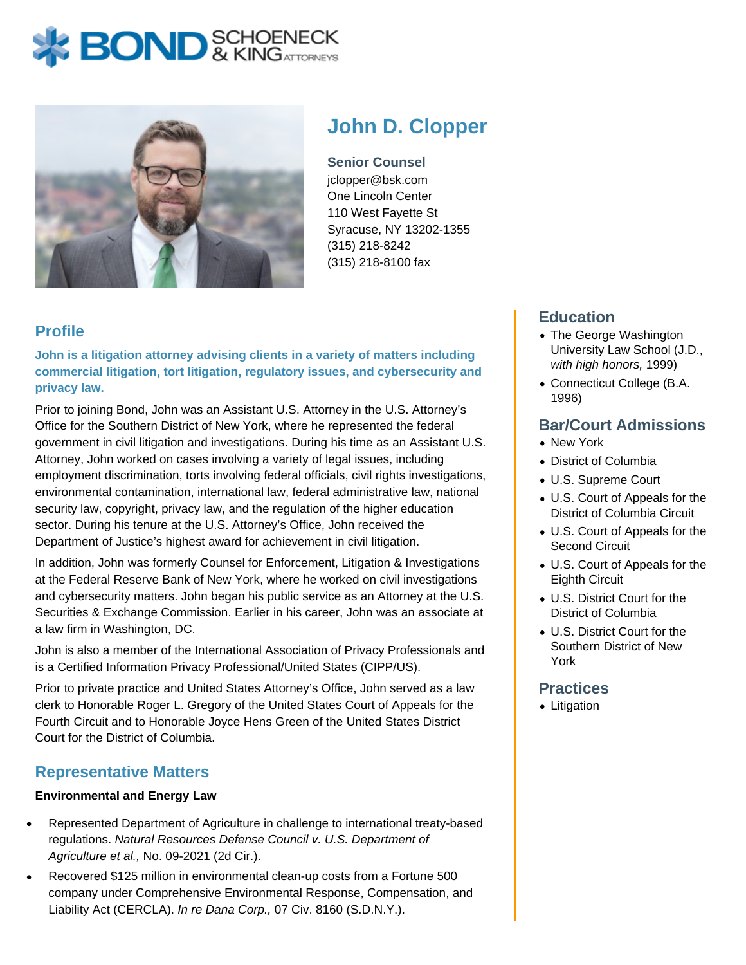# **X BOND** & KINGATTORNECK



# **John D. Clopper**

**Senior Counsel** jclopper@bsk.com One Lincoln Center 110 West Fayette St Syracuse, NY 13202-1355 (315) 218-8242 (315) 218-8100 fax

# **Profile**

**John is a litigation attorney advising clients in a variety of matters including commercial litigation, tort litigation, regulatory issues, and cybersecurity and privacy law.** 

Prior to joining Bond, John was an Assistant U.S. Attorney in the U.S. Attorney's Office for the Southern District of New York, where he represented the federal government in civil litigation and investigations. During his time as an Assistant U.S. Attorney, John worked on cases involving a variety of legal issues, including employment discrimination, torts involving federal officials, civil rights investigations, environmental contamination, international law, federal administrative law, national security law, copyright, privacy law, and the regulation of the higher education sector. During his tenure at the U.S. Attorney's Office, John received the Department of Justice's highest award for achievement in civil litigation.

In addition, John was formerly Counsel for Enforcement, Litigation & Investigations at the Federal Reserve Bank of New York, where he worked on civil investigations and cybersecurity matters. John began his public service as an Attorney at the U.S. Securities & Exchange Commission. Earlier in his career, John was an associate at a law firm in Washington, DC.

John is also a member of the International Association of Privacy Professionals and is a Certified Information Privacy Professional/United States (CIPP/US).

Prior to private practice and United States Attorney's Office, John served as a law clerk to Honorable Roger L. Gregory of the United States Court of Appeals for the Fourth Circuit and to Honorable Joyce Hens Green of the United States District Court for the District of Columbia.

## **Representative Matters**

#### **Environmental and Energy Law**

- Represented Department of Agriculture in challenge to international treaty-based regulations. Natural Resources Defense Council v. U.S. Department of Agriculture et al., No. 09-2021 (2d Cir.).
- Recovered \$125 million in environmental clean-up costs from a Fortune 500 company under Comprehensive Environmental Response, Compensation, and Liability Act (CERCLA). In re Dana Corp., 07 Civ. 8160 (S.D.N.Y.).

# **Education**

- The George Washington University Law School (J.D., with high honors, 1999)
- Connecticut College (B.A. 1996)

## **Bar/Court Admissions**

- New York
- District of Columbia
- U.S. Supreme Court
- U.S. Court of Appeals for the District of Columbia Circuit
- U.S. Court of Appeals for the Second Circuit
- U.S. Court of Appeals for the Eighth Circuit
- U.S. District Court for the District of Columbia
- U.S. District Court for the Southern District of New York

#### **Practices**

• Litigation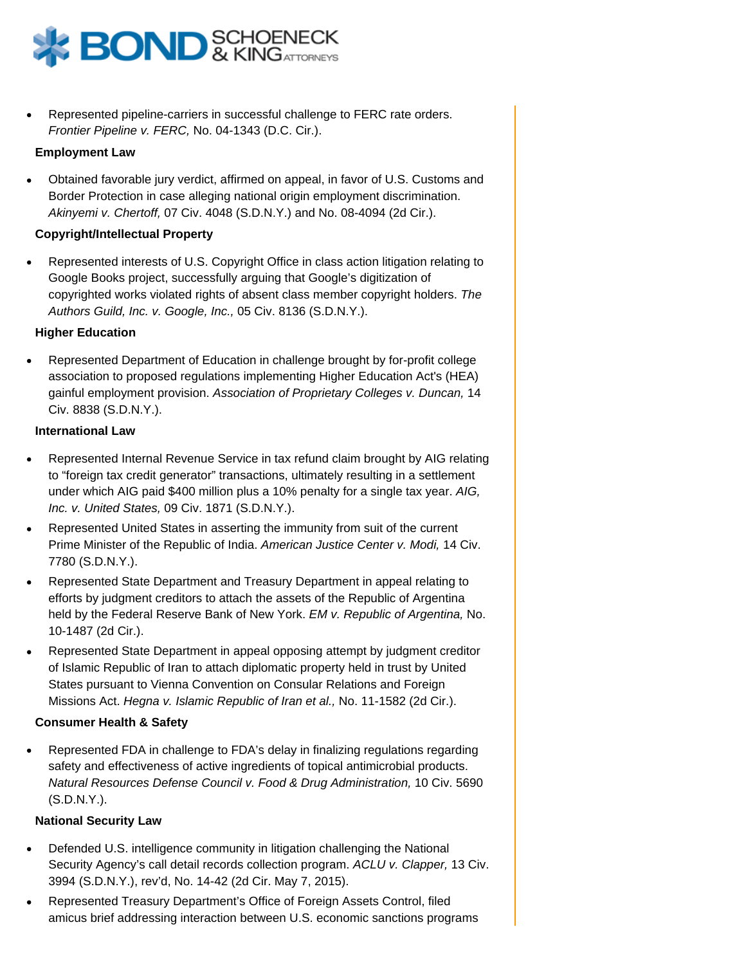

Represented pipeline-carriers in successful challenge to FERC rate orders. Frontier Pipeline v. FERC, No. 04-1343 (D.C. Cir.).

#### **Employment Law**

Obtained favorable jury verdict, affirmed on appeal, in favor of U.S. Customs and Border Protection in case alleging national origin employment discrimination. Akinyemi v. Chertoff, 07 Civ. 4048 (S.D.N.Y.) and No. 08-4094 (2d Cir.).

#### **Copyright/Intellectual Property**

Represented interests of U.S. Copyright Office in class action litigation relating to Google Books project, successfully arguing that Google's digitization of copyrighted works violated rights of absent class member copyright holders. The Authors Guild, Inc. v. Google, Inc., 05 Civ. 8136 (S.D.N.Y.).

#### **Higher Education**

Represented Department of Education in challenge brought by for-profit college association to proposed regulations implementing Higher Education Act's (HEA) gainful employment provision. Association of Proprietary Colleges v. Duncan, 14 Civ. 8838 (S.D.N.Y.).

#### **International Law**

- Represented Internal Revenue Service in tax refund claim brought by AIG relating to "foreign tax credit generator" transactions, ultimately resulting in a settlement under which AIG paid \$400 million plus a 10% penalty for a single tax year. AIG, Inc. v. United States, 09 Civ. 1871 (S.D.N.Y.).
- Represented United States in asserting the immunity from suit of the current Prime Minister of the Republic of India. American Justice Center v. Modi, 14 Civ. 7780 (S.D.N.Y.).
- Represented State Department and Treasury Department in appeal relating to efforts by judgment creditors to attach the assets of the Republic of Argentina held by the Federal Reserve Bank of New York. EM v. Republic of Argentina, No. 10-1487 (2d Cir.).
- Represented State Department in appeal opposing attempt by judgment creditor of Islamic Republic of Iran to attach diplomatic property held in trust by United States pursuant to Vienna Convention on Consular Relations and Foreign Missions Act. Hegna v. Islamic Republic of Iran et al., No. 11-1582 (2d Cir.).

#### **Consumer Health & Safety**

Represented FDA in challenge to FDA's delay in finalizing regulations regarding safety and effectiveness of active ingredients of topical antimicrobial products. Natural Resources Defense Council v. Food & Drug Administration, 10 Civ. 5690 (S.D.N.Y.).

#### **National Security Law**

- Defended U.S. intelligence community in litigation challenging the National Security Agency's call detail records collection program. ACLU v. Clapper, 13 Civ. 3994 (S.D.N.Y.), rev'd, No. 14-42 (2d Cir. May 7, 2015).
- Represented Treasury Department's Office of Foreign Assets Control, filed amicus brief addressing interaction between U.S. economic sanctions programs